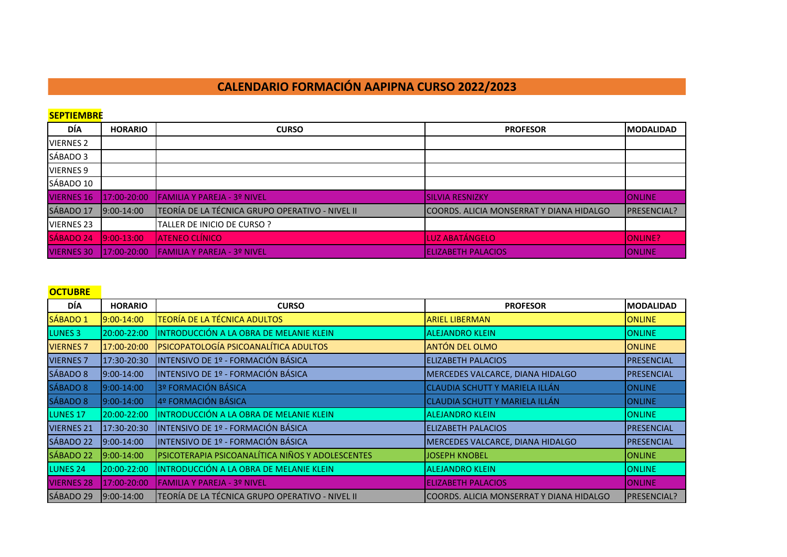# **CALENDARIO FORMACIÓN AAPIPNA CURSO 2022/2023**

**SEPTIEMBRE**

| DÍA               | <b>HORARIO</b> | <b>CURSO</b>                                    | <b>PROFESOR</b>                           | <b>IMODALIDAD</b>  |
|-------------------|----------------|-------------------------------------------------|-------------------------------------------|--------------------|
| <b>VIERNES 2</b>  |                |                                                 |                                           |                    |
| SÁBADO 3          |                |                                                 |                                           |                    |
| <b>VIERNES 9</b>  |                |                                                 |                                           |                    |
| SÁBADO 10         |                |                                                 |                                           |                    |
| <b>VIERNES 16</b> | 17:00-20:00    | <b>IFAMILIA Y PAREJA - 3º NIVEL</b>             | <b>ISILVIA RESNIZKY</b>                   | <b>IONLINE</b>     |
| SÁBADO 17         | $19:00-14:00$  | TEORÍA DE LA TÉCNICA GRUPO OPERATIVO - NIVEL II | ICOORDS. ALICIA MONSERRAT Y DIANA HIDALGO | <b>PRESENCIAL?</b> |
| <b>VIERNES 23</b> |                | TALLER DE INICIO DE CURSO ?                     |                                           |                    |
| <b>SÁBADO 24</b>  | $9:00 - 13:00$ | <b>ATENEO CLÍNICO</b>                           | LUZ ABATÁNGELO                            | <b>ONLINE?</b>     |
| <b>VIERNES 30</b> | 17:00-20:00    | <b>IFAMILIA Y PAREJA - 3º NIVEL</b>             | <b>IELIZABETH PALACIOS</b>                | <b>IONLINE</b>     |

## **OCTUBRE**

| DÍA                 | <b>HORARIO</b> | <b>CURSO</b>                                     | <b>PROFESOR</b>                          | <b>MODALIDAD</b>   |
|---------------------|----------------|--------------------------------------------------|------------------------------------------|--------------------|
| SÁBADO 1            | 9:00-14:00     | <b>TEORÍA DE LA TÉCNICA ADULTOS</b>              | <b>ARIEL LIBERMAN</b>                    | <b>ONLINE</b>      |
| LUNES <sub>3</sub>  | 20:00-22:00    | INTRODUCCIÓN A LA OBRA DE MELANIE KLEIN          | <b>ALEJANDRO KLEIN</b>                   | <b>ONLINE</b>      |
| <b>VIERNES 7</b>    | 17:00-20:00    | PSICOPATOLOGÍA PSICOANALÍTICA ADULTOS            | <b>ANTÓN DEL OLMO</b>                    | <b>ONLINE</b>      |
| <b>VIERNES 7</b>    | 17:30-20:30    | INTENSIVO DE 1º - FORMACIÓN BÁSICA               | <b>ELIZABETH PALACIOS</b>                | <b>PRESENCIAL</b>  |
| SÁBADO 8            | 9:00-14:00     | INTENSIVO DE 1º - FORMACIÓN BÁSICA               | MERCEDES VALCARCE, DIANA HIDALGO         | <b>PRESENCIAL</b>  |
| SÁBADO 8            | 9:00-14:00     | 3º FORMACIÓN BÁSICA                              | CLAUDIA SCHUTT Y MARIELA ILLÁN           | <b>ONLINE</b>      |
| SÁBADO 8            | 9:00-14:00     | 4º FORMACIÓN BÁSICA                              | <b>CLAUDIA SCHUTT Y MARIELA ILLÁN</b>    | <b>ONLINE</b>      |
| LUNES <sub>17</sub> | 20:00-22:00    | INTRODUCCIÓN A LA OBRA DE MELANIE KLEIN          | <b>ALEJANDRO KLEIN</b>                   | <b>ONLINE</b>      |
| <b>VIERNES 21</b>   | 17:30-20:30    | INTENSIVO DE 1º - FORMACIÓN BÁSICA               | <b>IELIZABETH PALACIOS</b>               | <b>PRESENCIAL</b>  |
| SÁBADO 22           | 9:00-14:00     | INTENSIVO DE 1º - FORMACIÓN BÁSICA               | MERCEDES VALCARCE, DIANA HIDALGO         | <b>PRESENCIAL</b>  |
| SÁBADO 22           | 9:00-14:00     | PSICOTERAPIA PSICOANALÍTICA NIÑOS Y ADOLESCENTES | JOSEPH KNOBEL                            | <b>ONLINE</b>      |
| LUNES <sub>24</sub> | 20:00-22:00    | INTRODUCCIÓN A LA OBRA DE MELANIE KLEIN          | <b>ALEJANDRO KLEIN</b>                   | <b>ONLINE</b>      |
| <b>VIERNES 28</b>   | 17:00-20:00    | <b>FAMILIA Y PAREJA - 3º NIVEL</b>               | <b>ELIZABETH PALACIOS</b>                | <b>ONLINE</b>      |
| SÁBADO 29           | $9:00-14:00$   | TEORÍA DE LA TÉCNICA GRUPO OPERATIVO - NIVEL II  | COORDS. ALICIA MONSERRAT Y DIANA HIDALGO | <b>PRESENCIAL?</b> |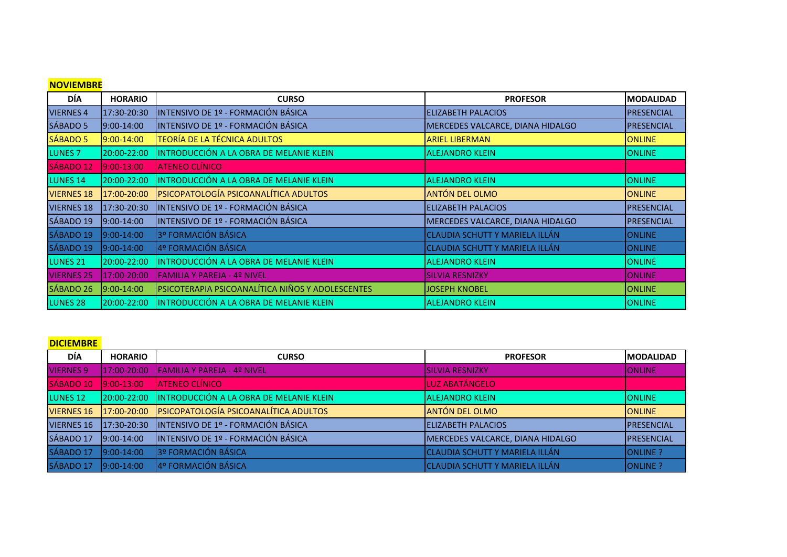| <b>NOVIEMBRE</b>    |                |                                                  |                                       |                   |
|---------------------|----------------|--------------------------------------------------|---------------------------------------|-------------------|
| <b>DÍA</b>          | <b>HORARIO</b> | <b>CURSO</b>                                     | <b>PROFESOR</b>                       | <b>MODALIDAD</b>  |
| <b>VIERNES 4</b>    | 17:30-20:30    | INTENSIVO DE 1º - FORMACIÓN BÁSICA               | <b>ELIZABETH PALACIOS</b>             | PRESENCIAL        |
| SÁBADO 5            | 9:00-14:00     | INTENSIVO DE 1º - FORMACIÓN BÁSICA               | MERCEDES VALCARCE, DIANA HIDALGO      | <b>PRESENCIAL</b> |
| SÁBADO <sub>5</sub> | 9:00-14:00     | <b>TEORÍA DE LA TÉCNICA ADULTOS</b>              | <b>ARIEL LIBERMAN</b>                 | <b>ONLINE</b>     |
| LUNES <sub>7</sub>  | 20:00-22:00    | INTRODUCCIÓN A LA OBRA DE MELANIE KLEIN          | <b>ALEJANDRO KLEIN</b>                | <b>ONLINE</b>     |
| SÁBADO 12           | 9:00-13:00     | <b>ATENEO CLÍNICO</b>                            |                                       |                   |
| LUNES <sub>14</sub> | 20:00-22:00    | INTRODUCCIÓN A LA OBRA DE MELANIE KLEIN          | <b>ALEJANDRO KLEIN</b>                | <b>ONLINE</b>     |
| <b>VIERNES 18</b>   | 17:00-20:00    | PSICOPATOLOGÍA PSICOANALÍTICA ADULTOS            | <b>ANTÓN DEL OLMO</b>                 | <b>ONLINE</b>     |
| <b>VIERNES 18</b>   | 17:30-20:30    | INTENSIVO DE 1º - FORMACIÓN BÁSICA               | <b>ELIZABETH PALACIOS</b>             | <b>PRESENCIAL</b> |
| SÁBADO 19           | 9:00-14:00     | INTENSIVO DE 1º - FORMACIÓN BÁSICA               | MERCEDES VALCARCE, DIANA HIDALGO      | <b>PRESENCIAL</b> |
| SÁBADO 19           | 9:00-14:00     | 3º FORMACIÓN BÁSICA                              | <b>CLAUDIA SCHUTT Y MARIELA ILLÁN</b> | <b>ONLINE</b>     |
| SÁBADO 19           | 9:00-14:00     | 4º FORMACIÓN BÁSICA                              | CLAUDIA SCHUTT Y MARIELA ILLÁN        | <b>ONLINE</b>     |
| LUNES <sub>21</sub> | 20:00-22:00    | INTRODUCCIÓN A LA OBRA DE MELANIE KLEIN          | <b>ALEJANDRO KLEIN</b>                | <b>ONLINE</b>     |
| <b>VIERNES 25</b>   | 17:00-20:00    | FAMILIA Y PAREJA - 4º NIVEL                      | <b>SILVIA RESNIZKY</b>                | <b>ONLINE</b>     |
| SÁBADO 26           | 9:00-14:00     | PSICOTERAPIA PSICOANALÍTICA NIÑOS Y ADOLESCENTES | JOSEPH KNOBEL                         | <b>ONLINE</b>     |
| LUNES <sub>28</sub> | 20:00-22:00    | INTRODUCCIÓN A LA OBRA DE MELANIE KLEIN          | <b>ALEJANDRO KLEIN</b>                | <b>ONLINE</b>     |

### **DICIEMBRE**

| <b>DÍA</b>          | <b>HORARIO</b> | <b>CURSO</b>                                         | <b>PROFESOR</b>                  | <b>IMODALIDAD</b>  |
|---------------------|----------------|------------------------------------------------------|----------------------------------|--------------------|
| <b>VIERNES 9</b>    | 17:00-20:00    | <b>FAMILIA Y PAREJA - 4º NIVEL</b>                   | <b>SILVIA RESNIZKY</b>           | <b>ONLINE</b>      |
| SÁBADO 10           | $9:00-13:00$   | <b>ATENEO CLÍNICO</b>                                | LUZ ABATÁNGELO                   |                    |
| LUNES <sub>12</sub> |                | 20:00-22:00  INTRODUCCIÓN A LA OBRA DE MELANIE KLEIN | <b>JALEJANDRO KLEIN</b>          | <b>IONLINE</b>     |
| <b>VIERNES 16</b>   | 17:00-20:00    | <b>PSICOPATOLOGÍA PSICOANALÍTICA ADULTOS</b>         | <b>ANTÓN DEL OLMO</b>            | <b>IONLINE</b>     |
| <b>VIERNES 16</b>   | 17:30-20:30    | INTENSIVO DE 1º - FORMACIÓN BÁSICA                   | <b>ELIZABETH PALACIOS</b>        | <b>PRESENCIAL</b>  |
| SÁBADO 17           | $9:00-14:00$   | INTENSIVO DE 1º - FORMACIÓN BÁSICA                   | MERCEDES VALCARCE, DIANA HIDALGO | <b>IPRESENCIAL</b> |
| SÁBADO 17           | $9:00-14:00$   | 3º FORMACIÓN BÁSICA                                  | CLAUDIA SCHUTT Y MARIELA ILLÁN   | ONLINE ?           |
| SÁBADO 17           | 9:00-14:00     | 4º FORMACIÓN BÁSICA                                  | CLAUDIA SCHUTT Y MARIELA ILLÁN   | ONLINE ?           |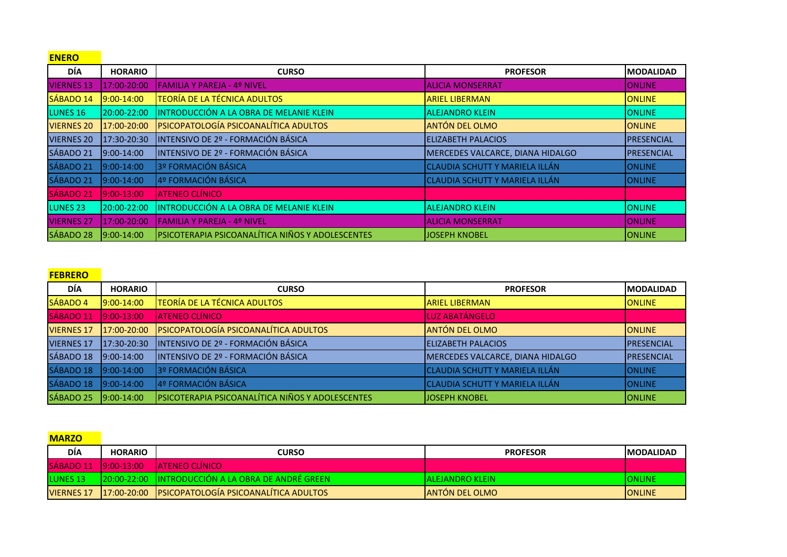| <b>ENERO</b>        |                 |                                                  |                                       |                  |
|---------------------|-----------------|--------------------------------------------------|---------------------------------------|------------------|
| <b>DÍA</b>          | <b>HORARIO</b>  | <b>CURSO</b>                                     | <b>PROFESOR</b>                       | <b>MODALIDAD</b> |
| <b>VIERNES 13</b>   | 17:00-20:00     | FAMILIA Y PAREJA - 4º NIVEL                      | <b>ALICIA MONSERRAT</b>               | <b>ONLINE</b>    |
| SÁBADO 14           | 9:00-14:00      | <b>TEORÍA DE LA TÉCNICA ADULTOS</b>              | <b>ARIEL LIBERMAN</b>                 | <b>ONLINE</b>    |
| LUNES <sub>16</sub> | 20:00-22:00     | INTRODUCCIÓN A LA OBRA DE MELANIE KLEIN          | <b>ALEJANDRO KLEIN</b>                | <b>ONLINE</b>    |
| <b>VIERNES 20</b>   | 17:00-20:00     | PSICOPATOLOGÍA PSICOANALÍTICA ADULTOS            | ANTÓN DEL OLMO                        | <b>ONLINE</b>    |
| <b>VIERNES 20</b>   | 17:30-20:30     | INTENSIVO DE 2º - FORMACIÓN BÁSICA               | <b>ELIZABETH PALACIOS</b>             | PRESENCIAL       |
| SÁBADO 21           | $9:00-14:00$    | INTENSIVO DE 2º - FORMACIÓN BÁSICA               | MERCEDES VALCARCE, DIANA HIDALGO      | PRESENCIAL       |
| SÁBADO 21           | 9:00-14:00      | 3º FORMACIÓN BÁSICA                              | CLAUDIA SCHUTT Y MARIELA ILLÁN        | <b>ONLINE</b>    |
| SÁBADO 21           | $9:00-14:00$    | 4º FORMACIÓN BÁSICA                              | <b>CLAUDIA SCHUTT Y MARIELA ILLÁN</b> | <b>ONLINE</b>    |
| SÁBADO 21           | 9:00-13:00      | <b>ATENEO CLÍNICO</b>                            |                                       |                  |
| LUNES <sub>23</sub> | 20:00-22:00     | INTRODUCCIÓN A LA OBRA DE MELANIE KLEIN          | <b>ALEJANDRO KLEIN</b>                | <b>ONLINE</b>    |
| <b>VIERNES 27</b>   | 17:00-20:00     | <b>FAMILIA Y PAREJA - 4º NIVEL</b>               | <b>ALICIA MONSERRAT</b>               | <b>ONLINE</b>    |
| SÁBADO 28           | $19:00 - 14:00$ | PSICOTERAPIA PSICOANALÍTICA NIÑOS Y ADOLESCENTES | <b>JOSEPH KNOBEL</b>                  | IONLINE          |

#### **FEBRERO**

| DÍA               | <b>HORARIO</b>  | <b>CURSO</b>                                     | <b>PROFESOR</b>                  | <b>IMODALIDAD</b> |
|-------------------|-----------------|--------------------------------------------------|----------------------------------|-------------------|
| <b>SÁBADO 4</b>   | $19:00 - 14:00$ | <b>TEORÍA DE LA TÉCNICA ADULTOS</b>              | <b>ARIEL LIBERMAN</b>            | <b>ONLINE</b>     |
| SÁBADO 11         | $9:00-13:00$    | <b>ATENEO CLÍNICO</b>                            | LUZ ABATÁNGELO                   |                   |
| <b>VIERNES 17</b> | 17:00-20:00     | PSICOPATOLOGÍA PSICOANALÍTICA ADULTOS            | ANTÓN DEL OLMO                   | <b>ONLINE</b>     |
| <b>VIERNES 17</b> | 17:30-20:30     | INTENSIVO DE 2º - FORMACIÓN BÁSICA               | ELIZABETH PALACIOS               | <b>PRESENCIAL</b> |
| SÁBADO 18         | $9:00-14:00$    | INTENSIVO DE 2º - FORMACIÓN BÁSICA               | MERCEDES VALCARCE, DIANA HIDALGO | <b>PRESENCIAL</b> |
| SÁBADO 18         | $9:00-14:00$    | 3º FORMACIÓN BÁSICA                              | CLAUDIA SCHUTT Y MARIELA ILLÁN   | <b>ONLINE</b>     |
| SÁBADO 18         | $9:00-14:00$    | 4º FORMACIÓN BÁSICA                              | CLAUDIA SCHUTT Y MARIELA ILLÁN   | <b>ONLINE</b>     |
| SÁBADO 25         | $9:00-14:00$    | PSICOTERAPIA PSICOANALÍTICA NIÑOS Y ADOLESCENTES | <b>JOSEPH KNOBEL</b>             | <b>ONLINE</b>     |

| <b>MARZO</b>      |                |                                                                  |                        |                   |
|-------------------|----------------|------------------------------------------------------------------|------------------------|-------------------|
| DÍA               | <b>HORARIO</b> | CURSO                                                            | <b>PROFESOR</b>        | <b>IMODALIDAD</b> |
| SÁBADO 11         | $19:00-13:00$  | <b>LATENEO CLÍNICO</b>                                           |                        |                   |
| <b>LUNES 13</b>   |                | <u> 120:00-22:00     IINTRODUCCIÓN A LA OBRA DE ANDRÉ GREEN </u> | lalejandro klein-      | <b>ONLINE</b>     |
| <b>VIERNES 17</b> |                | 17:00-20:00 PSICOPATOLOGÍA PSICOANALÍTICA ADULTOS                | <b>JANTÓN DEL OLMO</b> | <b>IONLINE</b>    |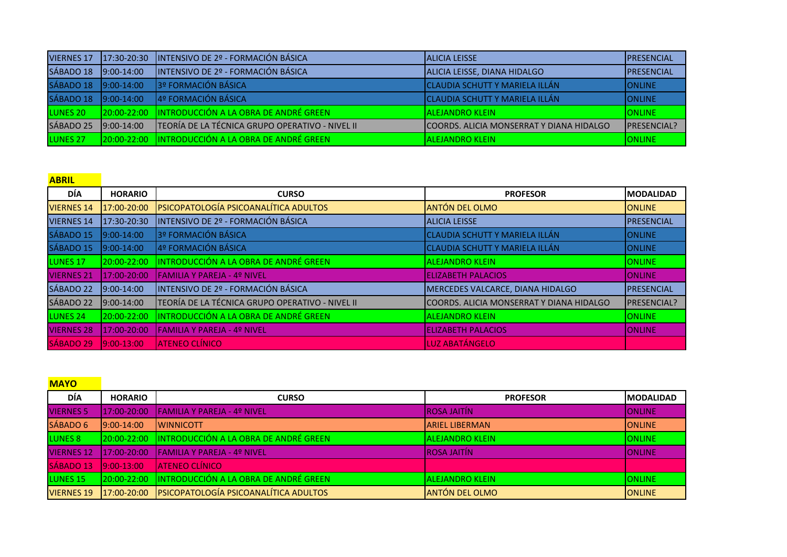| <b>VIERNES 17</b>   | $17:30-20:30$ | INTENSIVO DE 2º - FORMACIÓN BÁSICA                 | <b>JALICIA LEISSE</b>                    | <b>IPRESENCIAL</b>  |
|---------------------|---------------|----------------------------------------------------|------------------------------------------|---------------------|
| SÁBADO 18           | $19:00-14:00$ | INTENSIVO DE 2º - FORMACIÓN BÁSICA                 | ALICIA LEISSE, DIANA HIDALGO             | <b>IPRESENCIAL</b>  |
| SÁBADO 18           | $9:00-14:00$  | 3º FORMACIÓN BÁSICA                                | CLAUDIA SCHUTT Y MARIELA ILLÁN           | IONLINE             |
| SÁBADO 18           | $9:00-14:00$  | 4º FORMACIÓN BÁSICA                                | <b>CLAUDIA SCHUTT Y MARIELA ILLÁN</b>    | <b>I</b> ONLINE     |
| LUNES 20            |               | 20:00-22:00 IINTRODUCCIÓN A LA OBRA DE ANDRÉ GREEN | <b>IALEJANDRO KLEIN</b>                  | <b>I</b> ONLINE     |
| SÁBADO 25           | $9:00-14:00$  | TEORÍA DE LA TÉCNICA GRUPO OPERATIVO - NIVEL II    | COORDS. ALICIA MONSERRAT Y DIANA HIDALGO | <b>IPRESENCIAL?</b> |
| LUNES <sub>27</sub> |               | 20:00-22:00 INTRODUCCIÓN A LA OBRA DE ANDRÉ GREEN  | <b>ALEJANDRO KLEIN</b>                   | <b>IONLINE</b>      |

## **ABRIL**

| DÍA                 | <b>HORARIO</b> | <b>CURSO</b>                                    | <b>PROFESOR</b>                           | <b>IMODALIDAD</b>  |
|---------------------|----------------|-------------------------------------------------|-------------------------------------------|--------------------|
| <b>VIERNES 14</b>   | 17:00-20:00    | PSICOPATOLOGÍA PSICOANALÍTICA ADULTOS           | <b>ANTÓN DEL OLMO</b>                     | <b>ONLINE</b>      |
| <b>VIERNES 14</b>   | 17:30-20:30    | INTENSIVO DE 2º - FORMACIÓN BÁSICA              | <b>ALICIA LEISSE</b>                      | PRESENCIAL         |
| SÁBADO 15           | $9:00-14:00$   | 3º FORMACIÓN BÁSICA                             | CLAUDIA SCHUTT Y MARIELA ILLÁN            | <b>I</b> ONLINE    |
| SÁBADO 15           | $9:00-14:00$   | 4º FORMACIÓN BÁSICA                             | CLAUDIA SCHUTT Y MARIELA ILLÁN            | <b>I</b> ONLINE    |
| LUNES <sub>17</sub> | 20:00-22:00    | INTRODUCCIÓN A LA OBRA DE ANDRÉ GREEN           | <b>IALEJANDRO KLEIN</b>                   | <b>ONLINE</b>      |
| <b>VIERNES 21</b>   | 17:00-20:00    | <b>FAMILIA Y PAREJA - 4º NIVEL</b>              | <b>ELIZABETH PALACIOS</b>                 | <b>I</b> ONLINE    |
| SÁBADO 22           | $9:00-14:00$   | INTENSIVO DE 2º - FORMACIÓN BÁSICA              | MERCEDES VALCARCE, DIANA HIDALGO          | <b>PRESENCIAL</b>  |
| SÁBADO 22           | $9:00-14:00$   | TEORÍA DE LA TÉCNICA GRUPO OPERATIVO - NIVEL II | ICOORDS. ALICIA MONSERRAT Y DIANA HIDALGO | <b>PRESENCIAL?</b> |
| LUNES <sub>24</sub> | 20:00-22:00    | INTRODUCCIÓN A LA OBRA DE ANDRÉ GREEN           | <b>ALEJANDRO KLEIN</b>                    | <b>ONLINE</b>      |
| <b>VIERNES 28</b>   | 17:00-20:00    | <b>FAMILIA Y PAREJA - 4º NIVEL</b>              | <b>ELIZABETH PALACIOS</b>                 | <b>ONLINE</b>      |
| SÁBADO 29           | $9:00-13:00$   | <b>ATENEO CLÍNICO</b>                           | LUZ ABATÁNGELO                            |                    |

**MAYO** 

| DÍA                 | <b>HORARIO</b>   | <b>CURSO</b>                                 | <b>PROFESOR</b>         | <b>IMODALIDAD</b> |
|---------------------|------------------|----------------------------------------------|-------------------------|-------------------|
| <b>VIERNES 5</b>    | 117:00-20:00     | <b>IFAMILIA Y PAREJA - 4º NIVEL</b>          | <b>IROSA JAITÍN</b>     | <b>ONLINE</b>     |
| SÁBADO 6            | $19:00 - 14:00$  | <b>IWINNICOTT</b>                            | <b>ARIEL LIBERMAN</b>   | <b>IONLINE</b>    |
| LUNES 8             | $120:00 - 22:00$ | <b>INTRODUCCIÓN A LA OBRA DE ANDRÉ GREEN</b> | <b>ALEJANDRO KLEIN</b>  | <b>ONLINE</b>     |
| <b>VIERNES 12</b>   | $17:00 - 20:00$  | <b>IFAMILIA Y PAREJA - 4º NIVEL</b>          | <b>ROSA JAITÍN</b>      | <b>ONLINE</b>     |
| SÁBADO 13           | $19:00 - 13:00$  | <b>ATENEO CLÍNICO</b>                        |                         |                   |
| LUNES <sub>15</sub> | $120:00 - 22:00$ | <b>INTRODUCCIÓN A LA OBRA DE ANDRÉ GREEN</b> | <b>IALEJANDRO KLEIN</b> | <b>ONLINE</b>     |
| <b>VIERNES 19</b>   | 17:00-20:00      | <b>PSICOPATOLOGÍA PSICOANALÍTICA ADULTOS</b> | <b>ANTÓN DEL OLMO</b>   | <b>IONLINE</b>    |